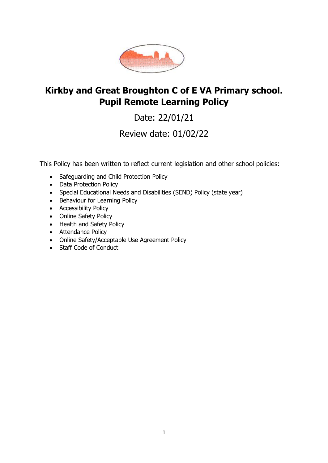

# **Kirkby and Great Broughton C of E VA Primary school. Pupil Remote Learning Policy**

Date: 22/01/21

Review date: 01/02/22

This Policy has been written to reflect current legislation and other school policies:

- Safeguarding and Child Protection Policy
- Data Protection Policy
- Special Educational Needs and Disabilities (SEND) Policy (state year)
- Behaviour for Learning Policy
- Accessibility Policy
- Online Safety Policy
- Health and Safety Policy
- Attendance Policy
- Online Safety/Acceptable Use Agreement Policy
- Staff Code of Conduct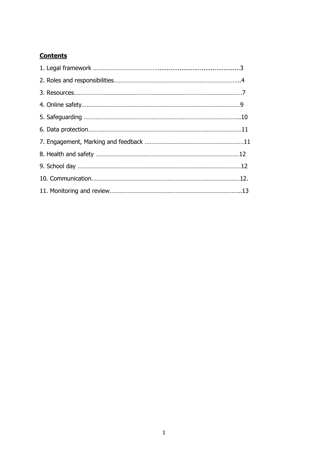# **Contents**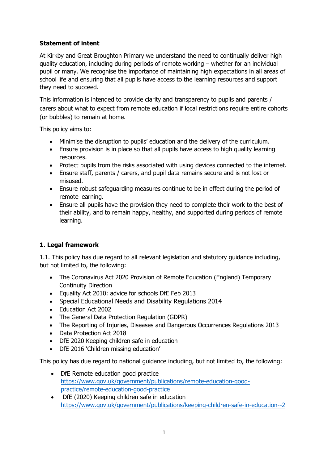# **Statement of intent**

At Kirkby and Great Broughton Primary we understand the need to continually deliver high quality education, including during periods of remote working – whether for an individual pupil or many. We recognise the importance of maintaining high expectations in all areas of school life and ensuring that all pupils have access to the learning resources and support they need to succeed.

This information is intended to provide clarity and transparency to pupils and parents / carers about what to expect from remote education if local restrictions require entire cohorts (or bubbles) to remain at home.

This policy aims to:

- Minimise the disruption to pupils' education and the delivery of the curriculum.
- Ensure provision is in place so that all pupils have access to high quality learning resources.
- Protect pupils from the risks associated with using devices connected to the internet.
- Ensure staff, parents / carers, and pupil data remains secure and is not lost or misused.
- Ensure robust safeguarding measures continue to be in effect during the period of remote learning.
- Ensure all pupils have the provision they need to complete their work to the best of their ability, and to remain happy, healthy, and supported during periods of remote learning.

## **1. Legal framework**

1.1. This policy has due regard to all relevant legislation and statutory guidance including, but not limited to, the following:

- The Coronavirus Act 2020 Provision of Remote Education (England) Temporary Continuity Direction
- Equality Act 2010: advice for schools DfE Feb 2013
- Special Educational Needs and Disability Regulations 2014
- Education Act 2002
- The General Data Protection Regulation (GDPR)
- The Reporting of Injuries, Diseases and Dangerous Occurrences Regulations 2013
- Data Protection Act 2018
- DfE 2020 Keeping children safe in education
- DfE 2016 'Children missing education'

This policy has due regard to national guidance including, but not limited to, the following:

- DfE Remote education good practice [https://www.gov.uk/government/publications/remote-education-good](about:blank)[practice/remote-education-good-practice](about:blank)
- DfE (2020) Keeping children safe in education [https://www.gov.uk/government/publications/keeping-children-safe-in-education--2](about:blank)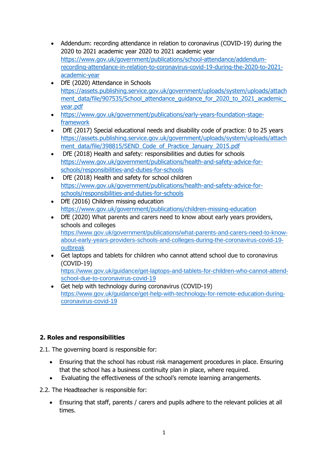- Addendum: recording attendance in relation to coronavirus (COVID-19) during the 2020 to 2021 academic year 2020 to 2021 academic year [https://www.gov.uk/government/publications/school-attendance/addendum](about:blank)[recording-attendance-in-relation-to-coronavirus-covid-19-during-the-2020-to-2021](about:blank) [academic-year](about:blank)
- DfE (2020) Attendance in Schools [https://assets.publishing.service.gov.uk/government/uploads/system/uploads/attach](about:blank) ment\_data/file/907535/School\_attendance\_quidance\_for\_2020\_to\_2021\_academic [year.pdf](about:blank)
- [https://www.gov.uk/government/publications/early-years-foundation-stage](about:blank)[framework](about:blank)
- DfE (2017) Special educational needs and disability code of practice: 0 to 25 years [https://assets.publishing.service.gov.uk/government/uploads/system/uploads/attach](about:blank) [ment\\_data/file/398815/SEND\\_Code\\_of\\_Practice\\_January\\_2015.pdf](about:blank)
- DfE (2018) Health and safety: responsibilities and duties for schools [https://www.gov.uk/government/publications/health-and-safety-advice-for](about:blank)[schools/responsibilities-and-duties-for-schools](about:blank)
- DfE (2018) Health and safety for school children [https://www.gov.uk/government/publications/health-and-safety-advice-for](about:blank)[schools/responsibilities-and-duties-for-schools](about:blank)
- DfE (2016) Children missing education [https://www.gov.uk/government/publications/children-missing-education](about:blank)
- DfE (2020) What parents and carers need to know about early years providers, schools and colleges [https://www.gov.uk/government/publications/what-parents-and-carers-need-to-know](about:blank)[about-early-years-providers-schools-and-colleges-during-the-coronavirus-covid-19](about:blank) [outbreak](about:blank)
- Get laptops and tablets for children who cannot attend school due to coronavirus (COVID-19) [https://www.gov.uk/guidance/get-laptops-and-tablets-for-children-who-cannot-attend](about:blank)[school-due-to-coronavirus-covid-19](about:blank)
- Get help with technology during coronavirus (COVID-19) [https://www.gov.uk/guidance/get-help-with-technology-for-remote-education-during](about:blank)[coronavirus-covid-19](about:blank)

# **2. Roles and responsibilities**

- 2.1. The governing board is responsible for:
	- Ensuring that the school has robust risk management procedures in place. Ensuring that the school has a business continuity plan in place, where required.
	- Evaluating the effectiveness of the school's remote learning arrangements.
- 2.2. The Headteacher is responsible for:
	- Ensuring that staff, parents / carers and pupils adhere to the relevant policies at all times.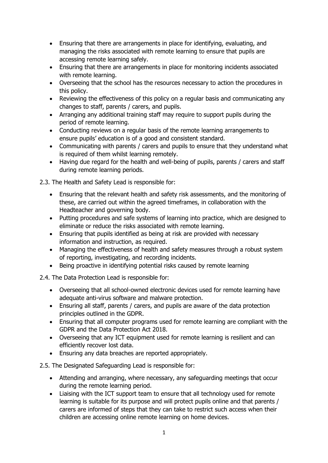- Ensuring that there are arrangements in place for identifying, evaluating, and managing the risks associated with remote learning to ensure that pupils are accessing remote learning safely.
- Ensuring that there are arrangements in place for monitoring incidents associated with remote learning.
- Overseeing that the school has the resources necessary to action the procedures in this policy.
- Reviewing the effectiveness of this policy on a regular basis and communicating any changes to staff, parents / carers, and pupils.
- Arranging any additional training staff may require to support pupils during the period of remote learning.
- Conducting reviews on a regular basis of the remote learning arrangements to ensure pupils' education is of a good and consistent standard.
- Communicating with parents / carers and pupils to ensure that they understand what is required of them whilst learning remotely.
- Having due regard for the health and well-being of pupils, parents / carers and staff during remote learning periods.

2.3. The Health and Safety Lead is responsible for:

- Ensuring that the relevant health and safety risk assessments, and the monitoring of these, are carried out within the agreed timeframes, in collaboration with the Headteacher and governing body.
- Putting procedures and safe systems of learning into practice, which are designed to eliminate or reduce the risks associated with remote learning.
- Ensuring that pupils identified as being at risk are provided with necessary information and instruction, as required.
- Managing the effectiveness of health and safety measures through a robust system of reporting, investigating, and recording incidents.
- Being proactive in identifying potential risks caused by remote learning

2.4. The Data Protection Lead is responsible for:

- Overseeing that all school-owned electronic devices used for remote learning have adequate anti-virus software and malware protection.
- Ensuring all staff, parents / carers, and pupils are aware of the data protection principles outlined in the GDPR.
- Ensuring that all computer programs used for remote learning are compliant with the GDPR and the Data Protection Act 2018.
- Overseeing that any ICT equipment used for remote learning is resilient and can efficiently recover lost data.
- Ensuring any data breaches are reported appropriately.

2.5. The Designated Safeguarding Lead is responsible for:

- Attending and arranging, where necessary, any safeguarding meetings that occur during the remote learning period.
- Liaising with the ICT support team to ensure that all technology used for remote learning is suitable for its purpose and will protect pupils online and that parents / carers are informed of steps that they can take to restrict such access when their children are accessing online remote learning on home devices.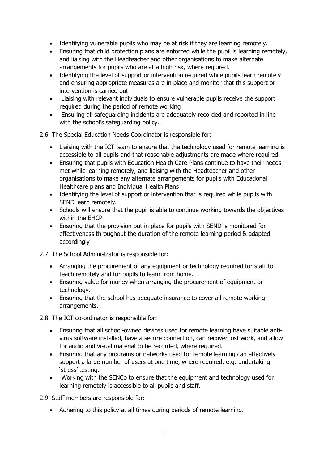- Identifying vulnerable pupils who may be at risk if they are learning remotely.
- Ensuring that child protection plans are enforced while the pupil is learning remotely, and liaising with the Headteacher and other organisations to make alternate arrangements for pupils who are at a high risk, where required.
- Identifying the level of support or intervention required while pupils learn remotely and ensuring appropriate measures are in place and monitor that this support or intervention is carried out
- Liaising with relevant individuals to ensure vulnerable pupils receive the support required during the period of remote working
- Ensuring all safeguarding incidents are adequately recorded and reported in line with the school's safeguarding policy.

2.6. The Special Education Needs Coordinator is responsible for:

- Liaising with the ICT team to ensure that the technology used for remote learning is accessible to all pupils and that reasonable adjustments are made where required.
- Ensuring that pupils with Education Health Care Plans continue to have their needs met while learning remotely, and liaising with the Headteacher and other organisations to make any alternate arrangements for pupils with Educational Healthcare plans and Individual Health Plans
- Identifying the level of support or intervention that is required while pupils with SEND learn remotely.
- Schools will ensure that the pupil is able to continue working towards the objectives within the EHCP
- Ensuring that the provision put in place for pupils with SEND is monitored for effectiveness throughout the duration of the remote learning period & adapted accordingly

2.7. The School Administrator is responsible for:

- Arranging the procurement of any equipment or technology required for staff to teach remotely and for pupils to learn from home.
- Ensuring value for money when arranging the procurement of equipment or technology.
- Ensuring that the school has adequate insurance to cover all remote working arrangements.

2.8. The ICT co-ordinator is responsible for:

- Ensuring that all school-owned devices used for remote learning have suitable antivirus software installed, have a secure connection, can recover lost work, and allow for audio and visual material to be recorded, where required.
- Ensuring that any programs or networks used for remote learning can effectively support a large number of users at one time, where required, e.g. undertaking 'stress' testing.
- Working with the SENCo to ensure that the equipment and technology used for learning remotely is accessible to all pupils and staff.

2.9. Staff members are responsible for:

• Adhering to this policy at all times during periods of remote learning.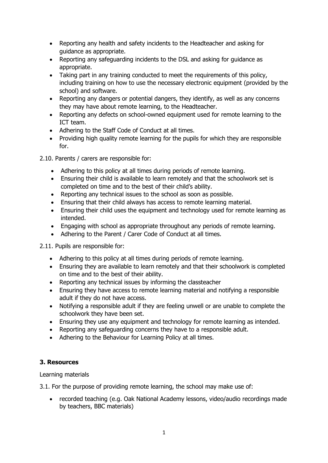- Reporting any health and safety incidents to the Headteacher and asking for guidance as appropriate.
- Reporting any safeguarding incidents to the DSL and asking for guidance as appropriate.
- Taking part in any training conducted to meet the requirements of this policy, including training on how to use the necessary electronic equipment (provided by the school) and software.
- Reporting any dangers or potential dangers, they identify, as well as any concerns they may have about remote learning, to the Headteacher.
- Reporting any defects on school-owned equipment used for remote learning to the ICT team.
- Adhering to the Staff Code of Conduct at all times.
- Providing high quality remote learning for the pupils for which they are responsible for.
- 2.10. Parents / carers are responsible for:
	- Adhering to this policy at all times during periods of remote learning.
	- Ensuring their child is available to learn remotely and that the schoolwork set is completed on time and to the best of their child's ability.
	- Reporting any technical issues to the school as soon as possible.
	- Ensuring that their child always has access to remote learning material.
	- Ensuring their child uses the equipment and technology used for remote learning as intended.
	- Engaging with school as appropriate throughout any periods of remote learning.
	- Adhering to the Parent / Carer Code of Conduct at all times.

2.11. Pupils are responsible for:

- Adhering to this policy at all times during periods of remote learning.
- Ensuring they are available to learn remotely and that their schoolwork is completed on time and to the best of their ability.
- Reporting any technical issues by informing the classteacher
- Ensuring they have access to remote learning material and notifying a responsible adult if they do not have access.
- Notifying a responsible adult if they are feeling unwell or are unable to complete the schoolwork they have been set.
- Ensuring they use any equipment and technology for remote learning as intended.
- Reporting any safeguarding concerns they have to a responsible adult.
- Adhering to the Behaviour for Learning Policy at all times.

## **3. Resources**

Learning materials

3.1. For the purpose of providing remote learning, the school may make use of:

• recorded teaching (e.g. Oak National Academy lessons, video/audio recordings made by teachers, BBC materials)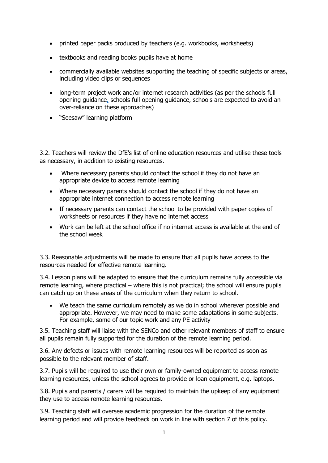- printed paper packs produced by teachers (e.g. workbooks, worksheets)
- textbooks and reading books pupils have at home
- commercially available websites supporting the teaching of specific subjects or areas, including video clips or sequences
- long-term project work and/or internet research activities (as per the [schools full](about:blank#res)  [opening guidance,](about:blank#res) schools full opening guidance, schools are expected to avoid an over-reliance on these approaches)
- "Seesaw" learning platform

3.2. Teachers will review the DfE's list of online education resources and utilise these tools as necessary, in addition to existing resources.

- Where necessary parents should contact the school if they do not have an appropriate device to access remote learning
- Where necessary parents should contact the school if they do not have an appropriate internet connection to access remote learning
- If necessary parents can contact the school to be provided with paper copies of worksheets or resources if they have no internet access
- Work can be left at the school office if no internet access is available at the end of the school week

3.3. Reasonable adjustments will be made to ensure that all pupils have access to the resources needed for effective remote learning.

3.4. Lesson plans will be adapted to ensure that the curriculum remains fully accessible via remote learning, where practical – where this is not practical; the school will ensure pupils can catch up on these areas of the curriculum when they return to school.

• We teach the same curriculum remotely as we do in school wherever possible and appropriate. However, we may need to make some adaptations in some subjects. For example, some of our topic work and any PE activity

3.5. Teaching staff will liaise with the SENCo and other relevant members of staff to ensure all pupils remain fully supported for the duration of the remote learning period.

3.6. Any defects or issues with remote learning resources will be reported as soon as possible to the relevant member of staff.

3.7. Pupils will be required to use their own or family-owned equipment to access remote learning resources, unless the school agrees to provide or loan equipment, e.g. laptops.

3.8. Pupils and parents / carers will be required to maintain the upkeep of any equipment they use to access remote learning resources.

3.9. Teaching staff will oversee academic progression for the duration of the remote learning period and will provide feedback on work in line with section 7 of this policy.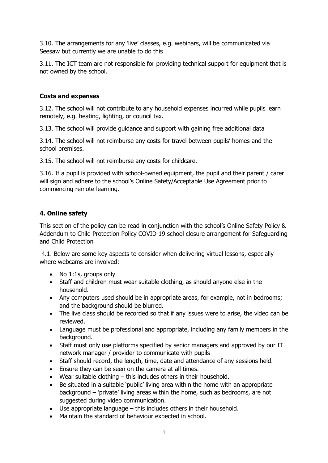3.10. The arrangements for any 'live' classes, e.g. webinars, will be communicated via Seesaw but currently we are unable to do this

3.11. The ICT team are not responsible for providing technical support for equipment that is not owned by the school.

#### **Costs and expenses**

3.12. The school will not contribute to any household expenses incurred while pupils learn remotely, e.g. heating, lighting, or council tax.

3.13. The school will provide guidance and support with gaining free additional data

3.14. The school will not reimburse any costs for travel between pupils' homes and the school premises.

3.15. The school will not reimburse any costs for childcare.

3.16. If a pupil is provided with school-owned equipment, the pupil and their parent / carer will sign and adhere to the school's Online Safety/Acceptable Use Agreement prior to commencing remote learning.

#### **4. Online safety**

This section of the policy can be read in conjunction with the school's Online Safety Policy & Addendum to Child Protection Policy COVID-19 school closure arrangement for Safeguarding and Child Protection

4.1. Below are some key aspects to consider when delivering virtual lessons, especially where webcams are involved:

- No 1:1s, groups only
- Staff and children must wear suitable clothing, as should anyone else in the household.
- Any computers used should be in appropriate areas, for example, not in bedrooms; and the background should be blurred.
- The live class should be recorded so that if any issues were to arise, the video can be reviewed.
- Language must be professional and appropriate, including any family members in the background.
- Staff must only use platforms specified by senior managers and approved by our IT network manager / provider to communicate with pupils
- Staff should record, the length, time, date and attendance of any sessions held.
- Ensure they can be seen on the camera at all times.
- Wear suitable clothing this includes others in their household.
- Be situated in a suitable 'public' living area within the home with an appropriate background – 'private' living areas within the home, such as bedrooms, are not suggested during video communication.
- Use appropriate language this includes others in their household.
- Maintain the standard of behaviour expected in school.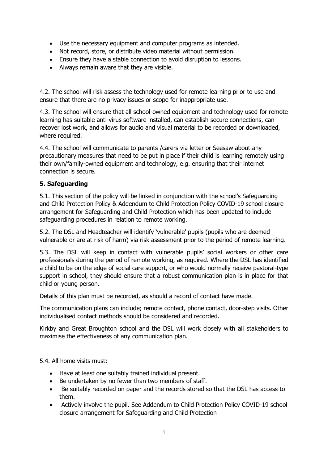- Use the necessary equipment and computer programs as intended.
- Not record, store, or distribute video material without permission.
- Ensure they have a stable connection to avoid disruption to lessons.
- Always remain aware that they are visible.

4.2. The school will risk assess the technology used for remote learning prior to use and ensure that there are no privacy issues or scope for inappropriate use.

4.3. The school will ensure that all school-owned equipment and technology used for remote learning has suitable anti-virus software installed, can establish secure connections, can recover lost work, and allows for audio and visual material to be recorded or downloaded, where required.

4.4. The school will communicate to parents /carers via letter or Seesaw about any precautionary measures that need to be put in place if their child is learning remotely using their own/family-owned equipment and technology, e.g. ensuring that their internet connection is secure.

#### **5. Safeguarding**

5.1. This section of the policy will be linked in conjunction with the school's Safeguarding and Child Protection Policy & Addendum to Child Protection Policy COVID-19 school closure arrangement for Safeguarding and Child Protection which has been updated to include safeguarding procedures in relation to remote working.

5.2. The DSL and Headteacher will identify 'vulnerable' pupils (pupils who are deemed vulnerable or are at risk of harm) via risk assessment prior to the period of remote learning.

5.3. The DSL will keep in contact with vulnerable pupils' social workers or other care professionals during the period of remote working, as required. Where the DSL has identified a child to be on the edge of social care support, or who would normally receive pastoral-type support in school, they should ensure that a robust communication plan is in place for that child or young person.

Details of this plan must be recorded, as should a record of contact have made.

The communication plans can include; remote contact, phone contact, door-step visits. Other individualised contact methods should be considered and recorded.

Kirkby and Great Broughton school and the DSL will work closely with all stakeholders to maximise the effectiveness of any communication plan.

5.4. All home visits must:

- Have at least one suitably trained individual present.
- Be undertaken by no fewer than two members of staff.
- Be suitably recorded on paper and the records stored so that the DSL has access to them.
- Actively involve the pupil. See Addendum to Child Protection Policy COVID-19 school closure arrangement for Safeguarding and Child Protection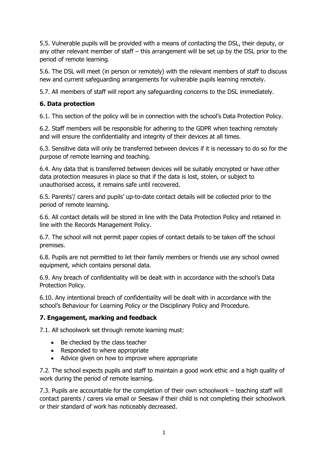5.5. Vulnerable pupils will be provided with a means of contacting the DSL, their deputy, or any other relevant member of staff – this arrangement will be set up by the DSL prior to the period of remote learning.

5.6. The DSL will meet (in person or remotely) with the relevant members of staff to discuss new and current safeguarding arrangements for vulnerable pupils learning remotely.

5.7. All members of staff will report any safeguarding concerns to the DSL immediately.

# **6. Data protection**

6.1. This section of the policy will be in connection with the school's Data Protection Policy.

6.2. Staff members will be responsible for adhering to the GDPR when teaching remotely and will ensure the confidentiality and integrity of their devices at all times.

6.3. Sensitive data will only be transferred between devices if it is necessary to do so for the purpose of remote learning and teaching.

6.4. Any data that is transferred between devices will be suitably encrypted or have other data protection measures in place so that if the data is lost, stolen, or subject to unauthorised access, it remains safe until recovered.

6.5. Parents'/ carers and pupils' up-to-date contact details will be collected prior to the period of remote learning.

6.6. All contact details will be stored in line with the Data Protection Policy and retained in line with the Records Management Policy.

6.7. The school will not permit paper copies of contact details to be taken off the school premises.

6.8. Pupils are not permitted to let their family members or friends use any school owned equipment, which contains personal data.

6.9. Any breach of confidentiality will be dealt with in accordance with the school's Data Protection Policy.

6.10. Any intentional breach of confidentiality will be dealt with in accordance with the school's Behaviour for Learning Policy or the Disciplinary Policy and Procedure.

# **7. Engagement, marking and feedback**

7.1. All schoolwork set through remote learning must:

- Be checked by the class teacher
- Responded to where appropriate
- Advice given on how to improve where appropriate

7.2. The school expects pupils and staff to maintain a good work ethic and a high quality of work during the period of remote learning.

7.3. Pupils are accountable for the completion of their own schoolwork – teaching staff will contact parents / carers via email or Seesaw if their child is not completing their schoolwork or their standard of work has noticeably decreased.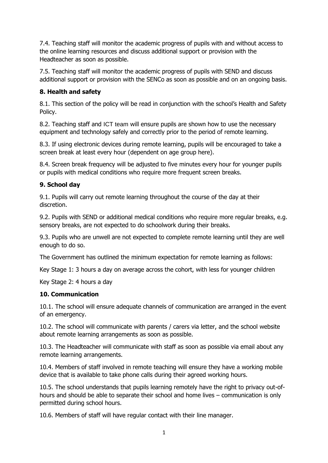7.4. Teaching staff will monitor the academic progress of pupils with and without access to the online learning resources and discuss additional support or provision with the Headteacher as soon as possible.

7.5. Teaching staff will monitor the academic progress of pupils with SEND and discuss additional support or provision with the SENCo as soon as possible and on an ongoing basis.

## **8. Health and safety**

8.1. This section of the policy will be read in conjunction with the school's Health and Safety Policy.

8.2. Teaching staff and ICT team will ensure pupils are shown how to use the necessary equipment and technology safely and correctly prior to the period of remote learning.

8.3. If using electronic devices during remote learning, pupils will be encouraged to take a screen break at least every hour (dependent on age group here).

8.4. Screen break frequency will be adjusted to five minutes every hour for younger pupils or pupils with medical conditions who require more frequent screen breaks.

## **9. School day**

9.1. Pupils will carry out remote learning throughout the course of the day at their discretion.

9.2. Pupils with SEND or additional medical conditions who require more regular breaks, e.g. sensory breaks, are not expected to do schoolwork during their breaks.

9.3. Pupils who are unwell are not expected to complete remote learning until they are well enough to do so.

The Government has outlined the minimum expectation for remote learning as follows:

Key Stage 1: 3 hours a day on average across the cohort, with less for younger children

Key Stage 2: 4 hours a day

## **10. Communication**

10.1. The school will ensure adequate channels of communication are arranged in the event of an emergency.

10.2. The school will communicate with parents / carers via letter, and the school website about remote learning arrangements as soon as possible.

10.3. The Headteacher will communicate with staff as soon as possible via email about any remote learning arrangements.

10.4. Members of staff involved in remote teaching will ensure they have a working mobile device that is available to take phone calls during their agreed working hours.

10.5. The school understands that pupils learning remotely have the right to privacy out-ofhours and should be able to separate their school and home lives – communication is only permitted during school hours.

10.6. Members of staff will have regular contact with their line manager.